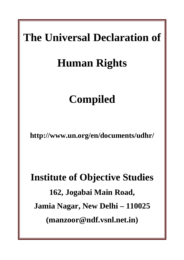## **The Universal Declaration of**

# **Human Rights**

# **Compiled**

**http://www.un.org/en/documents/udhr/**

**Institute of Objective Studies 162, Jogabai Main Road, Jamia Nagar, New Delhi – 110025 (manzoor@ndf.vsnl.net.in)**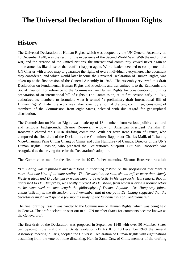### **The Universal Declaration of Human Rights**

### **History**

The Universal Declaration of Human Rights, which was adopted by the UN General Assembly on 10 December 1948, was the result of the experience of the Second World War. With the end of that war, and the creation of the United Nations, the international community vowed never again to allow atrocities like those of that conflict happen again. World leaders decided to complement the UN Charter with a road map to guarantee the rights of every individual everywhere. The document they considered, and which would later become the Universal Declaration of Human Rights, was taken up at the first session of the General Assembly in 1946. The Assembly reviewed this draft Declaration on Fundamental Human Rights and Freedoms and transmitted it to the Economic and Social Council "for reference to the Commission on Human Rights for consideration . . . in its preparation of an international bill of rights." The Commission, at its first session early in 1947, authorized its members to formulate what it termed "a preliminary draft International Bill of Human Rights". Later the work was taken over by a formal drafting committee, consisting of members of the Commission from eight States, selected with due regard for geographical distribution.

The Commission on Human Rights was made up of 18 members from various political, cultural and religious backgrounds. Eleanor Roosevelt, widow of American President Franklin D. Roosevelt, chaired the UDHR drafting committee. With her were René Cassin of France, who composed the first draft of the Declaration, the Committee Rapporteur Charles Malik of Lebanon, Vice-Chairman Peng Chung Chang of China, and John Humphrey of Canada, Director of the UN's Human Rights Division, who prepared the Declaration's blueprint. But Mrs. Roosevelt was recognized as the driving force for the Declaration's adoption.

The Commission met for the first time in 1947. In her memoirs, Eleanor Roosevelt recalled:

*"Dr. Chang was a pluralist and held forth in charming fashion on the proposition that there is more than one kind of ultimate reality. The Declaration, he said, should reflect more than simply Western ideas and Dr. Humphrey would have to be eclectic in his approach. His remark, though addressed to Dr. Humprhey, was really directed at Dr. Malik, from whom it drew a prompt retort as he expounded at some length the philosophy of Thomas Aquinas. Dr. Humphrey joined enthusiastically in the discussion, and I remember that at one point Dr. Chang suggested that the Secretariat might well spend a few months studying the fundamentals of Confucianism!*"

The final draft by Cassin was handed to the Commission on Human Rights, which was being held in Geneva. The draft declaration sent out to all UN member States for comments became known as the Geneva draft.

The first draft of the Declaration was proposed in September 1948 with over 50 Member States participating in the final drafting. By its resolution 217 A (III) of 10 December 1948, the General Assembly, meeting in Paris, adopted the Universal Declaration of Human Rights with eight nations abstaining from the vote but none dissenting. Hernán Santa Cruz of Chile, member of the drafting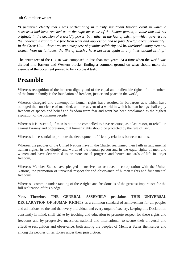sub-Committee,wrote:

*"I perceived clearly that I was participating in a truly significant historic event in which a consensus had been reached as to the supreme value of the human person, a value that did not originate in the decision of a worldly power, but rather in the fact of existing—which gave rise to the inalienable right to live free from want and oppression and to fully develop one's personality. In the Great Hall…there was an atmosphere of genuine solidarity and brotherhood among men and women from all latitudes, the like of which I have not seen again in any international setting."*

The entire text of the UDHR was composed in less than two years. At a time when the world was divided into Eastern and Western blocks, finding a common ground on what should make the essence of the document proved to be a colossal task.

### **Preamble**

Whereas recognition of the inherent dignity and of the equal and inalienable rights of all members of the human family is the foundation of freedom, justice and peace in the world,

Whereas disregard and contempt for human rights have resulted in barbarous acts which have outraged the conscience of mankind, and the advent of a world in which human beings shall enjoy freedom of speech and belief and freedom from fear and want has been proclaimed as the highest aspiration of the common people,

Whereas it is essential, if man is not to be compelled to have recourse, as a last resort, to rebellion against tyranny and oppression, that human rights should be protected by the rule of law,

Whereas it is essential to promote the development of friendly relations between nations,

Whereas the peoples of the United Nations have in the Charter reaffirmed their faith in fundamental human rights, in the dignity and worth of the human person and in the equal rights of men and women and have determined to promote social progress and better standards of life in larger freedom,

Whereas Member States have pledged themselves to achieve, in co-operation with the United Nations, the promotion of universal respect for and observance of human rights and fundamental freedoms,

Whereas a common understanding of these rights and freedoms is of the greatest importance for the full realization of this pledge,

**Now, Therefore THE GENERAL ASSEMBLY proclaims THIS UNIVERSAL DECLARATION OF HUMAN RIGHTS** as a common standard of achievement for all peoples and all nations, to the end that every individual and every organ of society, keeping this Declaration constantly in mind, shall strive by teaching and education to promote respect for these rights and freedoms and by progressive measures, national and international, to secure their universal and effective recognition and observance, both among the peoples of Member States themselves and among the peoples of territories under their jurisdiction.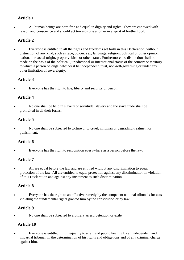All human beings are born free and equal in dignity and rights. They are endowed with reason and conscience and should act towards one another in a spirit of brotherhood.

#### **Article 2**

 Everyone is entitled to all the rights and freedoms set forth in this Declaration, without distinction of any kind, such as race, colour, sex, language, religion, political or other opinion, national or social origin, property, birth or other status. Furthermore, no distinction shall be made on the basis of the political, jurisdictional or international status of the country or territory to which a person belongs, whether it be independent, trust, non-self-governing or under any other limitation of sovereignty.

#### **Article 3**

Everyone has the right to life, liberty and security of person.

#### **Article 4**

 No one shall be held in slavery or servitude; slavery and the slave trade shall be prohibited in all their forms.

#### **Article 5**

 No one shall be subjected to torture or to cruel, inhuman or degrading treatment or punishment.

#### **Article 6**

Everyone has the right to recognition everywhere as a person before the law.

#### **Article 7**

 All are equal before the law and are entitled without any discrimination to equal protection of the law. All are entitled to equal protection against any discrimination in violation of this Declaration and against any incitement to such discrimination.

#### **Article 8**

 Everyone has the right to an effective remedy by the competent national tribunals for acts violating the fundamental rights granted him by the constitution or by law.

#### **Article 9**

No one shall be subjected to arbitrary arrest, detention or exile.

#### **Article 10**

 Everyone is entitled in full equality to a fair and public hearing by an independent and impartial tribunal, in the determination of his rights and obligations and of any criminal charge against him.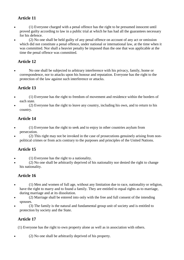- (1) Everyone charged with a penal offence has the right to be presumed innocent until proved guilty according to law in a public trial at which he has had all the guarantees necessary for his defence.
- (2) No one shall be held guilty of any penal offence on account of any act or omission which did not constitute a penal offence, under national or international law, at the time when it was committed. Nor shall a heavier penalty be imposed than the one that was applicable at the time the penal offence was committed.

#### **Article 12**

 No one shall be subjected to arbitrary interference with his privacy, family, home or correspondence, nor to attacks upon his honour and reputation. Everyone has the right to the protection of the law against such interference or attacks.

#### **Article 13**

- (1) Everyone has the right to freedom of movement and residence within the borders of each state.
- (2) Everyone has the right to leave any country, including his own, and to return to his country.

#### **Article 14**

- (1) Everyone has the right to seek and to enjoy in other countries asylum from persecution.
- (2) This right may not be invoked in the case of prosecutions genuinely arising from nonpolitical crimes or from acts contrary to the purposes and principles of the United Nations.

#### **Article 15**

- (1) Everyone has the right to a nationality.
- (2) No one shall be arbitrarily deprived of his nationality nor denied the right to change his nationality.

#### **Article 16**

- (1) Men and women of full age, without any limitation due to race, nationality or religion, have the right to marry and to found a family. They are entitled to equal rights as to marriage, during marriage and at its dissolution.
- (2) Marriage shall be entered into only with the free and full consent of the intending spouses.
- (3) The family is the natural and fundamental group unit of society and is entitled to protection by society and the State.

#### **Article 17**

(1) Everyone has the right to own property alone as well as in association with others.

(2) No one shall be arbitrarily deprived of his property.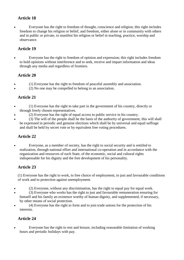Everyone has the right to freedom of thought, conscience and religion; this right includes freedom to change his religion or belief, and freedom, either alone or in community with others and in public or private, to manifest his religion or belief in teaching, practice, worship and observance.

#### **Article 19**

 Everyone has the right to freedom of opinion and expression; this right includes freedom to hold opinions without interference and to seek, receive and impart information and ideas through any media and regardless of frontiers.

#### **Article 20**

- (1) Everyone has the right to freedom of peaceful assembly and association.
- (2) No one may be compelled to belong to an association.

#### **Article 21**

- (1) Everyone has the right to take part in the government of his country, directly or through freely chosen representatives.
- (2) Everyone has the right of equal access to public service in his country.
- (3) The will of the people shall be the basis of the authority of government; this will shall be expressed in periodic and genuine elections which shall be by universal and equal suffrage and shall be held by secret vote or by equivalent free voting procedures.

#### **Article 22**

 Everyone, as a member of society, has the right to social security and is entitled to realization, through national effort and international co-operation and in accordance with the organization and resources of each State, of the economic, social and cultural rights indispensable for his dignity and the free development of his personality.

#### **Article 23**

(1) Everyone has the right to work, to free choice of employment, to just and favourable conditions of work and to protection against unemployment.

- (2) Everyone, without any discrimination, has the right to equal pay for equal work.
- (3) Everyone who works has the right to just and favourable remuneration ensuring for himself and his family an existence worthy of human dignity, and supplemented, if necessary, by other means of social protection.
- (4) Everyone has the right to form and to join trade unions for the protection of his interests.

#### **Article 24**

 Everyone has the right to rest and leisure, including reasonable limitation of working hours and periodic holidays with pay.